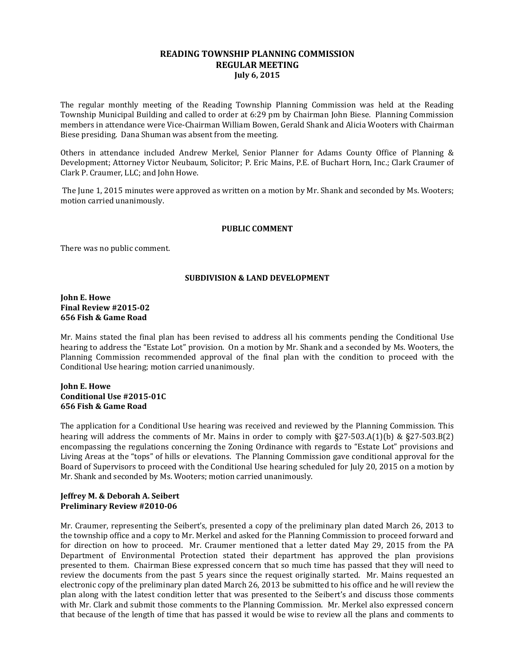# **READING TOWNSHIP PLANNING COMMISSION REGULAR MEETING July 6, 2015**

The regular monthly meeting of the Reading Township Planning Commission was held at the Reading Township Municipal Building and called to order at 6:29 pm by Chairman John Biese. Planning Commission members in attendance were Vice-Chairman William Bowen, Gerald Shank and Alicia Wooters with Chairman Biese presiding. Dana Shuman was absent from the meeting.

Others in attendance included Andrew Merkel, Senior Planner for Adams County Office of Planning & Development; Attorney Victor Neubaum, Solicitor; P. Eric Mains, P.E. of Buchart Horn, Inc.; Clark Craumer of Clark P. Craumer, LLC; and John Howe.

The June 1, 2015 minutes were approved as written on a motion by Mr. Shank and seconded by Ms. Wooters; motion carried unanimously.

### **PUBLIC COMMENT**

There was no public comment.

### **SUBDIVISION & LAND DEVELOPMENT**

# **John E. Howe Final Review #2015-02 656 Fish & Game Road**

Mr. Mains stated the final plan has been revised to address all his comments pending the Conditional Use hearing to address the "Estate Lot" provision. On a motion by Mr. Shank and a seconded by Ms. Wooters, the Planning Commission recommended approval of the final plan with the condition to proceed with the Conditional Use hearing; motion carried unanimously.

# **John E. Howe Conditional Use #2015-01C 656 Fish & Game Road**

The application for a Conditional Use hearing was received and reviewed by the Planning Commission. This hearing will address the comments of Mr. Mains in order to comply with §27-503.A(1)(b) & §27-503.B(2) encompassing the regulations concerning the Zoning Ordinance with regards to "Estate Lot" provisions and Living Areas at the "tops" of hills or elevations. The Planning Commission gave conditional approval for the Board of Supervisors to proceed with the Conditional Use hearing scheduled for July 20, 2015 on a motion by Mr. Shank and seconded by Ms. Wooters; motion carried unanimously.

# **Jeffrey M. & Deborah A. Seibert Preliminary Review #2010-06**

Mr. Craumer, representing the Seibert's, presented a copy of the preliminary plan dated March 26, 2013 to the township office and a copy to Mr. Merkel and asked for the Planning Commission to proceed forward and for direction on how to proceed. Mr. Craumer mentioned that a letter dated May 29, 2015 from the PA Department of Environmental Protection stated their department has approved the plan provisions presented to them. Chairman Biese expressed concern that so much time has passed that they will need to review the documents from the past 5 years since the request originally started. Mr. Mains requested an electronic copy of the preliminary plan dated March 26, 2013 be submitted to his office and he will review the plan along with the latest condition letter that was presented to the Seibert's and discuss those comments with Mr. Clark and submit those comments to the Planning Commission. Mr. Merkel also expressed concern that because of the length of time that has passed it would be wise to review all the plans and comments to